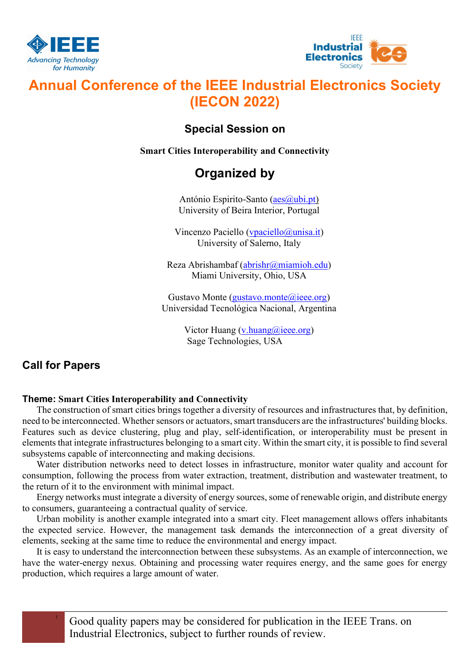



# Annual Conference of the IEEE Industrial Electronics Society (IECON 2022)

### Special Session on

Smart Cities Interoperability and Connectivity

## Organized by

António Espirito-Santo (aes@ubi.pt) University of Beira Interior, Portugal

Vincenzo Paciello (vpaciello@unisa.it) University of Salerno, Italy

Reza Abrishambaf (abrishr@miamioh.edu) Miami University, Ohio, USA

Gustavo Monte ( $\frac{\text{gustavo.monte}}{\text{(a)icee.org}}$ ) Universidad Tecnológica Nacional, Argentina

> Victor Huang  $(v)$ .huang  $(a)$ ieee.org) Sage Technologies, USA

## Call for Papers

#### Theme: Smart Cities Interoperability and Connectivity

The construction of smart cities brings together a diversity of resources and infrastructures that, by definition, need to be interconnected. Whether sensors or actuators, smart transducers are the infrastructures' building blocks. Features such as device clustering, plug and play, self-identification, or interoperability must be present in elements that integrate infrastructures belonging to a smart city. Within the smart city, it is possible to find several subsystems capable of interconnecting and making decisions.

Water distribution networks need to detect losses in infrastructure, monitor water quality and account for consumption, following the process from water extraction, treatment, distribution and wastewater treatment, to the return of it to the environment with minimal impact.

Energy networks must integrate a diversity of energy sources, some of renewable origin, and distribute energy to consumers, guaranteeing a contractual quality of service.

Urban mobility is another example integrated into a smart city. Fleet management allows offers inhabitants the expected service. However, the management task demands the interconnection of a great diversity of elements, seeking at the same time to reduce the environmental and energy impact.

It is easy to understand the interconnection between these subsystems. As an example of interconnection, we have the water-energy nexus. Obtaining and processing water requires energy, and the same goes for energy production, which requires a large amount of water.